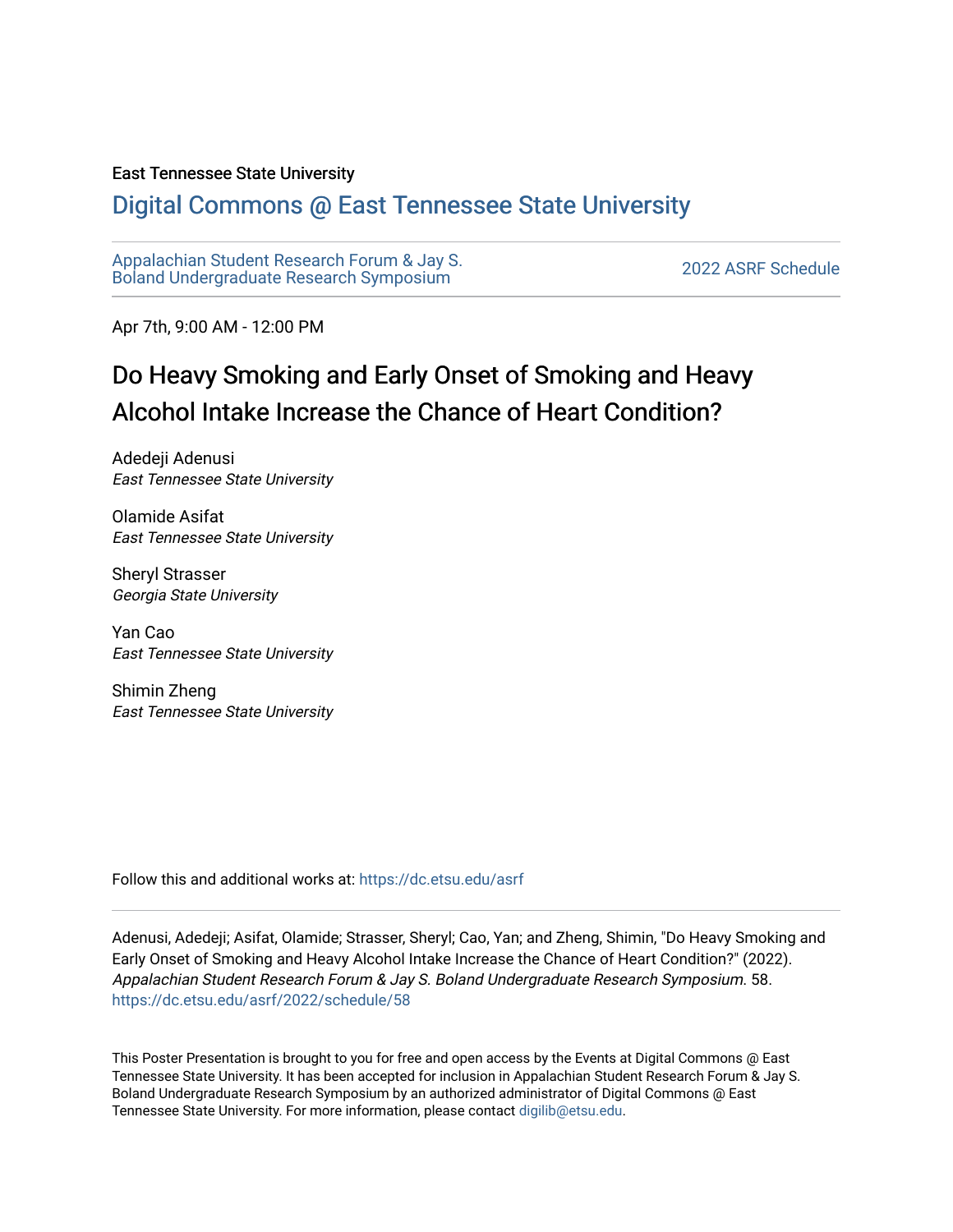### East Tennessee State University

### [Digital Commons @ East Tennessee State University](https://dc.etsu.edu/)

[Appalachian Student Research Forum & Jay S.](https://dc.etsu.edu/asrf)  Appalactifalt Student Research Forum & Jay S.<br>Boland Undergraduate Research Symposium

Apr 7th, 9:00 AM - 12:00 PM

### Do Heavy Smoking and Early Onset of Smoking and Heavy Alcohol Intake Increase the Chance of Heart Condition?

Adedeji Adenusi East Tennessee State University

Olamide Asifat East Tennessee State University

Sheryl Strasser Georgia State University

Yan Cao East Tennessee State University

Shimin Zheng East Tennessee State University

Follow this and additional works at: [https://dc.etsu.edu/asrf](https://dc.etsu.edu/asrf?utm_source=dc.etsu.edu%2Fasrf%2F2022%2Fschedule%2F58&utm_medium=PDF&utm_campaign=PDFCoverPages) 

Adenusi, Adedeji; Asifat, Olamide; Strasser, Sheryl; Cao, Yan; and Zheng, Shimin, "Do Heavy Smoking and Early Onset of Smoking and Heavy Alcohol Intake Increase the Chance of Heart Condition?" (2022). Appalachian Student Research Forum & Jay S. Boland Undergraduate Research Symposium. 58. [https://dc.etsu.edu/asrf/2022/schedule/58](https://dc.etsu.edu/asrf/2022/schedule/58?utm_source=dc.etsu.edu%2Fasrf%2F2022%2Fschedule%2F58&utm_medium=PDF&utm_campaign=PDFCoverPages) 

This Poster Presentation is brought to you for free and open access by the Events at Digital Commons @ East Tennessee State University. It has been accepted for inclusion in Appalachian Student Research Forum & Jay S. Boland Undergraduate Research Symposium by an authorized administrator of Digital Commons @ East Tennessee State University. For more information, please contact [digilib@etsu.edu](mailto:digilib@etsu.edu).